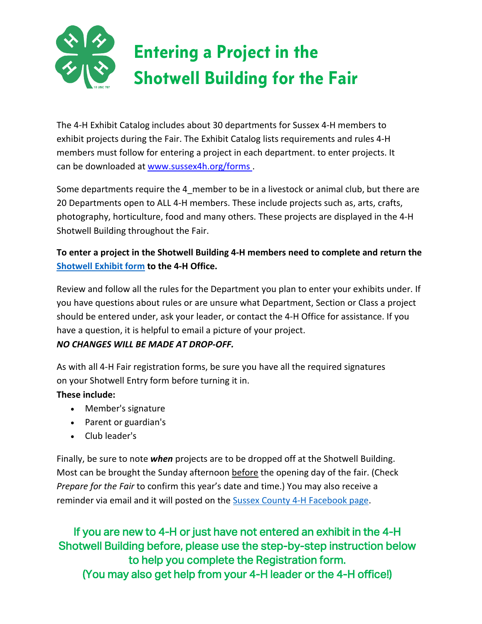

The 4-H Exhibit Catalog includes about 30 departments for Sussex 4-H members to exhibit projects during the Fair. The Exhibit Catalog lists requirements and rules 4-H members must follow for entering a project in each department. to enter projects. It can be downloaded at [www.sussex4h.org/forms .](http://www.sussex4h.org/forms)

Some departments require the 4\_member to be in a livestock or animal club, but there are 20 Departments open to ALL 4-H members. These include projects such as, arts, crafts, photography, horticulture, food and many others. These projects are displayed in the 4-H Shotwell Building throughout the Fair.

#### **To enter a project in the Shotwell Building 4-H members need to complete and return the [Shotwell Exhibit form](https://www.sussex4h.org/wp-content/uploads/2019/05/2019_GnlRegFrm_Shotwell_fields_-ue.pdf) to the 4-H Office.**

Review and follow all the rules for the Department you plan to enter your exhibits under. If you have questions about rules or are unsure what Department, Section or Class a project should be entered under, ask your leader, or contact the 4-H Office for assistance. If you have a question, it is helpful to email a picture of your project.

#### *NO CHANGES WILL BE MADE AT DROP-OFF.*

As with all 4-H Fair registration forms, be sure you have all the required signatures on your Shotwell Entry form before turning it in.

#### **These include:**

- Member's signature
- Parent or guardian's
- Club leader's

Finally, be sure to note *when* projects are to be dropped off at the Shotwell Building. Most can be brought the Sunday afternoon before the opening day of the fair. (Check *Prepare for the Fair* to confirm this year's date and time.) You may also receive a reminder via email and it will posted on the [Sussex County 4-H Facebook page.](https://www.facebook.com/groups/926929520682935/)

If you are new to 4-H or just have not entered an exhibit in the 4-H Shotwell Building before, please use the step-by-step instruction below to help you complete the Registration form. (You may also get help from your 4-H leader or the 4-H office!)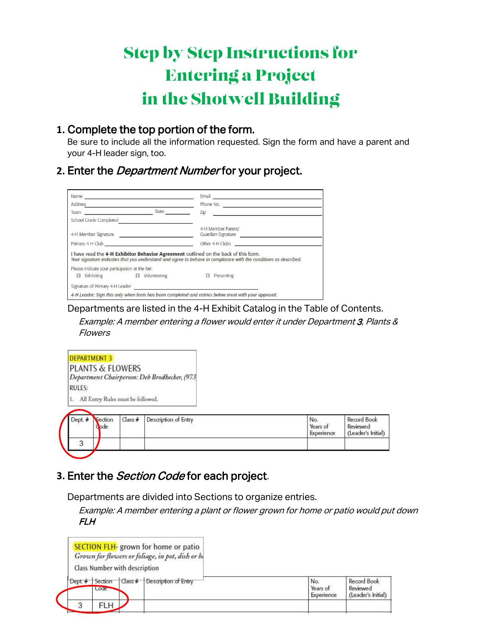# Step by Step Instructions for Entering a Project in the Shotwell Building

#### **1.** Complete the top portion of the form.

Be sure to include all the information requested. Sign the form and have a parent and your 4-H leader sign, too.

## **2.** Enter the Department Number for your project.

|                                                                | Name 2008 - 2008 - 2008 - 2008 - 2008 - 2008 - 2008 - 2008 - 2008 - 2008 - 2008 - 2008 - 2008 - 2008 - 2008 - 2008 - 2008 - 2008 - 2008 - 2008 - 2008 - 2008 - 2008 - 2008 - 2008 - 2008 - 2008 - 2008 - 2008 - 2008 - 2008 - | Email 2008 - 2008 - 2009 - 2009 - 2009 - 2010 - 2010 - 2011 - 2012 - 2013 - 2014 - 2014 - 2014 - 2014 - 2014 -                                                                                          |
|----------------------------------------------------------------|-------------------------------------------------------------------------------------------------------------------------------------------------------------------------------------------------------------------------------|---------------------------------------------------------------------------------------------------------------------------------------------------------------------------------------------------------|
| Address                                                        |                                                                                                                                                                                                                               | Phone No.<br>the control of the control of the control of the control of the control of                                                                                                                 |
| We have a strategies and the control of the control of<br>Town | State                                                                                                                                                                                                                         | Zip                                                                                                                                                                                                     |
| School Grade Completed                                         |                                                                                                                                                                                                                               |                                                                                                                                                                                                         |
|                                                                |                                                                                                                                                                                                                               | 4-H Member Parent/<br>Guardian Signature                                                                                                                                                                |
|                                                                | Primary 4-H Club experience and the contract of the contract of the contract of the contract of the contract of                                                                                                               | Other 4-H Clubs                                                                                                                                                                                         |
|                                                                |                                                                                                                                                                                                                               | I have read the 4-H Exhibitor Behavior Agreement outlined on the back of this form.<br>Your signature indicates that you understand and agree to behave in compliance with the conditions as described. |
| Please indicate your participation at the fair:                |                                                                                                                                                                                                                               |                                                                                                                                                                                                         |
| $\Box$                                                         |                                                                                                                                                                                                                               | $\Box$ Presenting                                                                                                                                                                                       |
|                                                                |                                                                                                                                                                                                                               |                                                                                                                                                                                                         |
|                                                                |                                                                                                                                                                                                                               | 4-H Leader: Sian this only when form has been completed and entries below meet with your approval.                                                                                                      |

Departments are listed in the 4-H Exhibit Catalog in the Table of Contents.

Example: A member entering a flower would enter it under Department 3, Plants & Flowers

| <b>DEPARTMENT 3</b>                          |
|----------------------------------------------|
| <b>PLANTS &amp; FLOWERS</b>                  |
| Department Chairperson: Deb Brodhecker, (973 |
| <b>RULES:</b>                                |
| 1. All Entry Rules must be followed.         |
|                                              |

| $Dept.$ # | Section<br>ode | $Class$ # | Description of Entry | No.<br>Years of<br>Experience | Record Book<br>Reviewed<br>(Leader's Initial) |
|-----------|----------------|-----------|----------------------|-------------------------------|-----------------------------------------------|
| 3         |                |           |                      |                               |                                               |

## **3.** Enter the Section Code for each project.

Departments are divided into Sections to organize entries.

Example: A member entering a plant or flower grown for home or patio would put down FLH

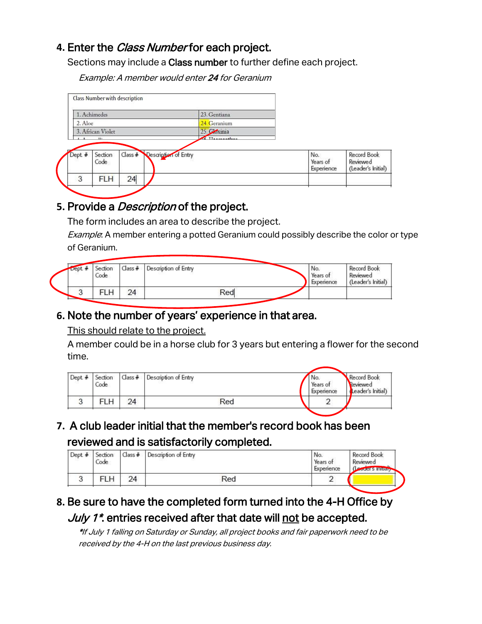### **4.** Enter the Class Number for each project.

Sections may include a Class number to further define each project.

Example: A member would enter 24 for Geranium

| 1. Achimedes      |                 |  |                              | 23. Gentiana                   |                               |                                               |
|-------------------|-----------------|--|------------------------------|--------------------------------|-------------------------------|-----------------------------------------------|
| 2. Aloe           |                 |  |                              | 24. Geranium                   |                               |                                               |
| 3. African Violet |                 |  |                              | 25. Cloxinia                   |                               |                                               |
| $1 - 8$ $10 -$    |                 |  |                              | $\epsilon$ $\tau$ <sub>1</sub> |                               |                                               |
|                   |                 |  |                              |                                |                               |                                               |
| Dept. #           | Section<br>Code |  | Class # Description of Entry |                                | No.<br>Years of<br>Experience | Record Book<br>Reviewed<br>(Leader's Initial) |

## **5.** Provide a Description of the project.

The form includes an area to describe the project.

Example: A member entering a potted Geranium could possibly describe the color or type of Geranium.

| $\rho$ ept. $\star$ | Section<br>Code | $Class +$ | Description of Entry | No.<br>Years of<br>Experience | Record Book<br>Reviewed<br>(Leader's Initial) |
|---------------------|-----------------|-----------|----------------------|-------------------------------|-----------------------------------------------|
|                     | FLH             | 24        | Red                  |                               |                                               |

## **6.** Note the number of years' experience in that area.

This should relate to the project.

A member could be in a horse club for 3 years but entering a flower for the second time.

| Dept. $#$ | Section<br>Code | $Class +$ | Description of Entry | No.<br>Years of<br>Experience | <b>Record Book</b><br>Reviewed<br>Leader's Initial) |
|-----------|-----------------|-----------|----------------------|-------------------------------|-----------------------------------------------------|
|           | FLH             | 24        | Red                  |                               |                                                     |

**7.** A club leader initial that the member's record book has been reviewed and is satisfactorily completed.

| Dept. $#$ | Section<br>Code | $Class +$ | Description of Entry | No.<br>Years of<br>Experience | Record Book<br>Reviewed<br>Coder's Initial |
|-----------|-----------------|-----------|----------------------|-------------------------------|--------------------------------------------|
|           | FLH             | 24        | Red                  |                               |                                            |

## **8.** Be sure to have the completed form turned into the 4-H Office by July 1<sup>\*</sup>. entries received after that date will not be accepted.

\*If July 1 falling on Saturday or Sunday, all project books and fair paperwork need to be received by the 4-H on the last previous business day.